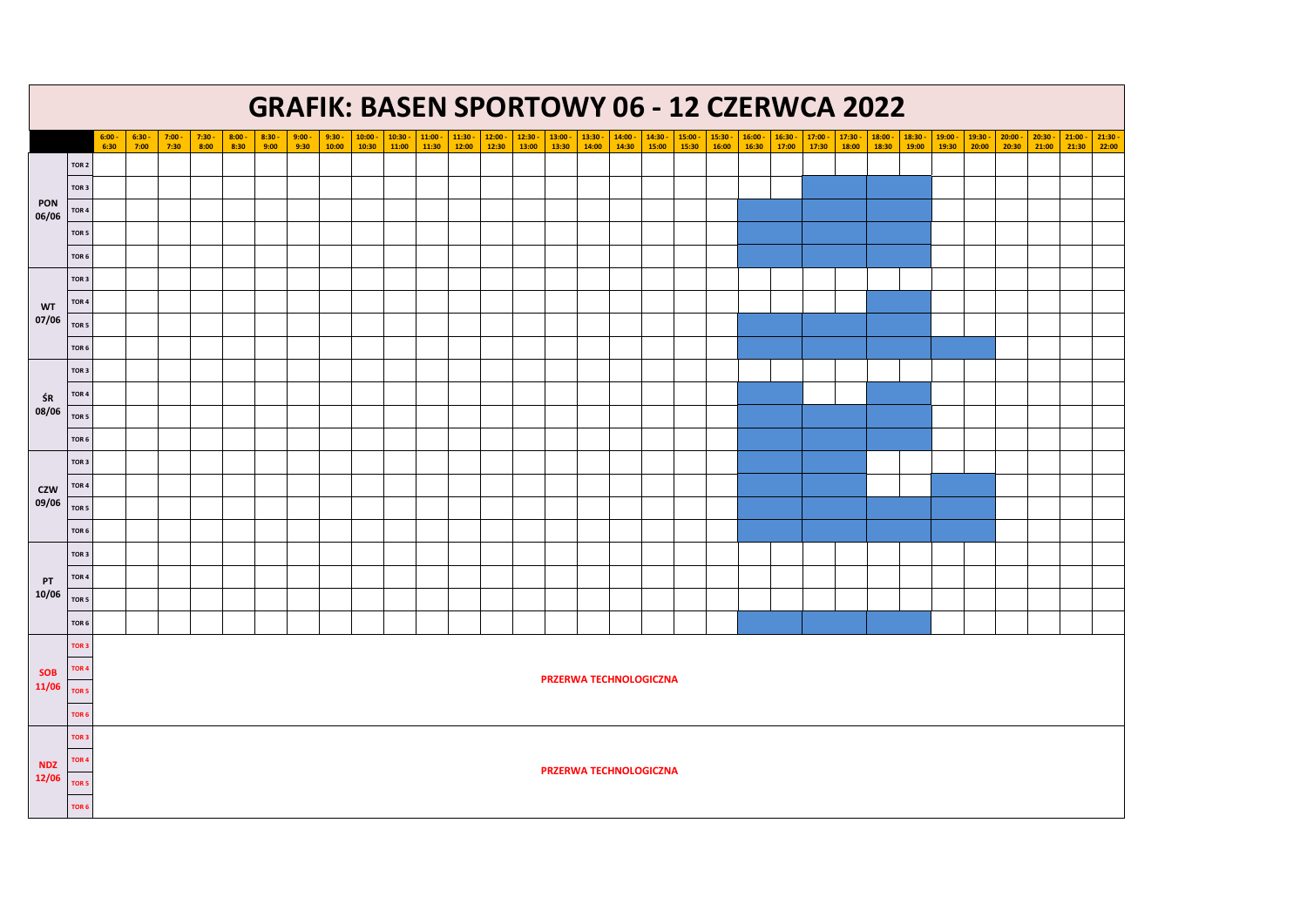